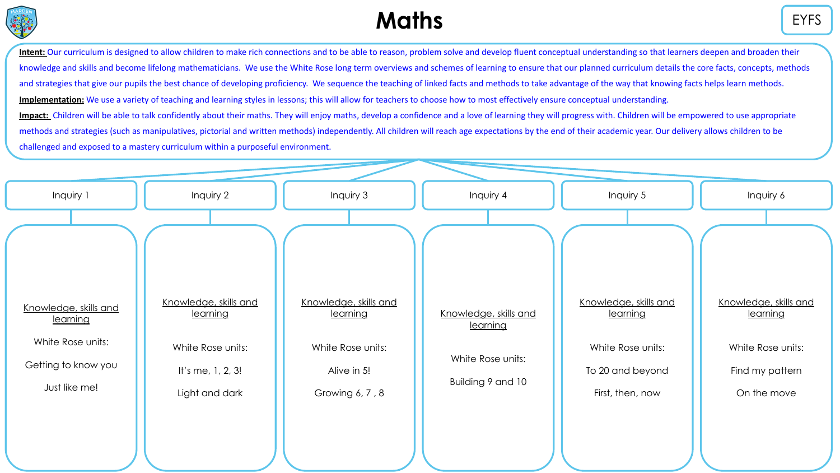

# **Maths** EYFS

Intent: Our curriculum is designed to allow children to make rich connections and to be able to reason, problem solve and develop fluent conceptual understanding so that learners deepen and broaden their knowledge and skills and become lifelong mathematicians. We use the White Rose long term overviews and schemes of learning to ensure that our planned curriculum details the core facts, concepts, methods and strategies that give our pupils the best chance of developing proficiency. We sequence the teaching of linked facts and methods to take advantage of the way that knowing facts helps learn methods. **Implementation:** We use a variety of teaching and learning styles in lessons; this will allow for teachers to choose how to most effectively ensure conceptual understanding. Impact: Children will be able to talk confidently about their maths. They will enjoy maths, develop a confidence and a love of learning they will progress with. Children will be empowered to use appropriate methods and strategies (such as manipulatives, pictorial and written methods) independently. All children will reach age expectations by the end of their academic year. Our delivery allows children to be challenged and exposed to a mastery curriculum within a purposeful environment.

| Inquiry 1                         | Inquiry 2                         | Inquiry 3                         | Inquiry 4                         | Inquiry 5                         | Inquiry 6                         |
|-----------------------------------|-----------------------------------|-----------------------------------|-----------------------------------|-----------------------------------|-----------------------------------|
|                                   |                                   |                                   |                                   |                                   |                                   |
| Knowledge, skills and<br>learning | Knowledge, skills and<br>learning | Knowledge, skills and<br>learning | Knowledge, skills and<br>learning | Knowledge, skills and<br>learning | Knowledge, skills and<br>learning |
| White Rose units:                 | White Rose units:                 | White Rose units:                 | White Rose units:                 | White Rose units:                 | White Rose units:                 |
| Getting to know you               | It's me, $1, 2, 3!$               | Alive in 5!                       | Building 9 and 10                 | To 20 and beyond                  | Find my pattern                   |
| Just like me!                     | Light and dark                    | Growing 6, 7, 8                   |                                   | First, then, now                  | On the move                       |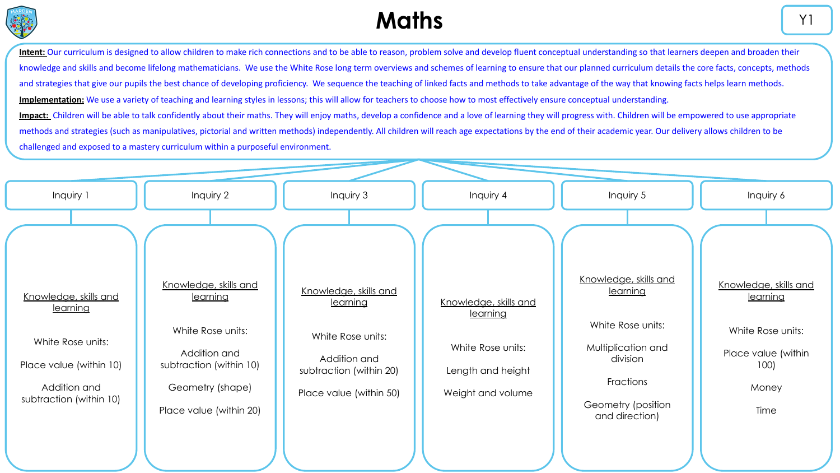

Intent: Our curriculum is designed to allow children to make rich connections and to be able to reason, problem solve and develop fluent conceptual understanding so that learners deepen and broaden their knowledge and skills and become lifelong mathematicians. We use the White Rose long term overviews and schemes of learning to ensure that our planned curriculum details the core facts, concepts, methods and strategies that give our pupils the best chance of developing proficiency. We sequence the teaching of linked facts and methods to take advantage of the way that knowing facts helps learn methods. **Implementation:** We use a variety of teaching and learning styles in lessons; this will allow for teachers to choose how to most effectively ensure conceptual understanding. Impact: Children will be able to talk confidently about their maths. They will enjoy maths, develop a confidence and a love of learning they will progress with. Children will be empowered to use appropriate methods and strategies (such as manipulatives, pictorial and written methods) independently. All children will reach age expectations by the end of their academic year. Our delivery allows children to be challenged and exposed to a mastery curriculum within a purposeful environment.

| Inquiry 1                                                                                                                    | Inquiry 2                                                                                                                                        | Inquiry 3                                                                                                                    | Inquiry 4                                                                                        | Inquiry 5                                                                                                                                            | Inquiry 6                                                                                              |
|------------------------------------------------------------------------------------------------------------------------------|--------------------------------------------------------------------------------------------------------------------------------------------------|------------------------------------------------------------------------------------------------------------------------------|--------------------------------------------------------------------------------------------------|------------------------------------------------------------------------------------------------------------------------------------------------------|--------------------------------------------------------------------------------------------------------|
| Knowledge, skills and<br>learning<br>White Rose units:<br>Place value (within 10)<br>Addition and<br>subtraction (within 10) | Knowledge, skills and<br>learning<br>White Rose units:<br>Addition and<br>subtraction (within 10)<br>Geometry (shape)<br>Place value (within 20) | Knowledge, skills and<br>learning<br>White Rose units:<br>Addition and<br>subtraction (within 20)<br>Place value (within 50) | Knowledge, skills and<br>learning<br>White Rose units:<br>Length and height<br>Weight and volume | Knowledge, skills and<br><u>learning</u><br>White Rose units:<br>Multiplication and<br>division<br>Fractions<br>Geometry (position<br>and direction) | Knowledge, skills and<br>learning<br>White Rose units:<br>Place value (within<br>100)<br>Money<br>Time |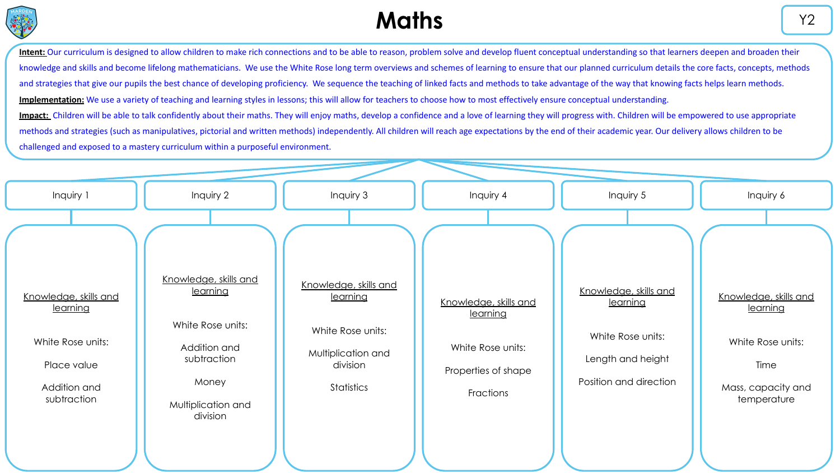

# **Maths**  $\begin{array}{ccc} \hline & \end{array}$  Y2

Intent: Our curriculum is designed to allow children to make rich connections and to be able to reason, problem solve and develop fluent conceptual understanding so that learners deepen and broaden their knowledge and skills and become lifelong mathematicians. We use the White Rose long term overviews and schemes of learning to ensure that our planned curriculum details the core facts, concepts, methods and strategies that give our pupils the best chance of developing proficiency. We sequence the teaching of linked facts and methods to take advantage of the way that knowing facts helps learn methods. **Implementation:** We use a variety of teaching and learning styles in lessons; this will allow for teachers to choose how to most effectively ensure conceptual understanding. Impact: Children will be able to talk confidently about their maths. They will enjoy maths, develop a confidence and a love of learning they will progress with. Children will be empowered to use appropriate methods and strategies (such as manipulatives, pictorial and written methods) independently. All children will reach age expectations by the end of their academic year. Our delivery allows children to be

| Inquiry 1                                                                                            | Inquiry 2                                                                                                                        | Inquiry 3                                                                                              | Inquiry 4                                                                                  | Inquiry 5                                                                                             | Inquiry 6                                                                                           |
|------------------------------------------------------------------------------------------------------|----------------------------------------------------------------------------------------------------------------------------------|--------------------------------------------------------------------------------------------------------|--------------------------------------------------------------------------------------------|-------------------------------------------------------------------------------------------------------|-----------------------------------------------------------------------------------------------------|
| Knowledge, skills and<br>learning<br>White Rose units:<br>Place value<br>Addition and<br>subtraction | Knowledge, skills and<br>learning<br>White Rose units:<br>Addition and<br>subtraction<br>Money<br>Multiplication and<br>division | Knowledge, skills and<br>learning<br>White Rose units:<br>Multiplication and<br>division<br>Statistics | Knowledge, skills and<br>learning<br>White Rose units:<br>Properties of shape<br>Fractions | Knowledge, skills and<br>learning<br>White Rose units:<br>Length and height<br>Position and direction | Knowledge, skills and<br>learning<br>White Rose units:<br>Time<br>Mass, capacity and<br>temperature |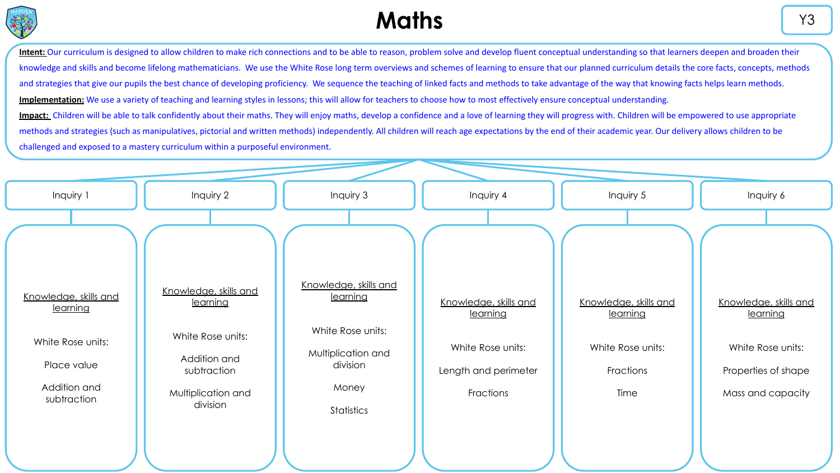

# **Maths**  $\begin{array}{ccc} \hline & \text{Y3} & \text{Y4} \\ \hline \end{array}$

Intent: Our curriculum is designed to allow children to make rich connections and to be able to reason, problem solve and develop fluent conceptual understanding so that learners deepen and broaden their knowledge and skills and become lifelong mathematicians. We use the White Rose long term overviews and schemes of learning to ensure that our planned curriculum details the core facts, concepts, methods and strategies that give our pupils the best chance of developing proficiency. We sequence the teaching of linked facts and methods to take advantage of the way that knowing facts helps learn methods. **Implementation:** We use a variety of teaching and learning styles in lessons; this will allow for teachers to choose how to most effectively ensure conceptual understanding. Impact: Children will be able to talk confidently about their maths. They will enjoy maths, develop a confidence and a love of learning they will progress with. Children will be empowered to use appropriate methods and strategies (such as manipulatives, pictorial and written methods) independently. All children will reach age expectations by the end of their academic year. Our delivery allows children to be

| Inquiry 1                         | Inquiry 2                         | Inquiry 3                         | Inquiry 4                         | Inquiry 5                         | Inquiry 6                         |
|-----------------------------------|-----------------------------------|-----------------------------------|-----------------------------------|-----------------------------------|-----------------------------------|
|                                   |                                   |                                   |                                   |                                   |                                   |
| Knowledge, skills and<br>learning | Knowledge, skills and<br>learning | Knowledge, skills and<br>learning | Knowledge, skills and<br>learning | Knowledge, skills and<br>learning | Knowledge, skills and<br>learning |
| White Rose units:                 | White Rose units:                 | White Rose units:                 | White Rose units:                 | White Rose units:                 | White Rose units:                 |
| Place value                       | Addition and<br>subtraction       | Multiplication and<br>division    | Length and perimeter              | Fractions                         | Properties of shape               |
| Addition and<br>subtraction       | Multiplication and<br>division    | Money<br>Statistics               | Fractions                         | Time                              | Mass and capacity                 |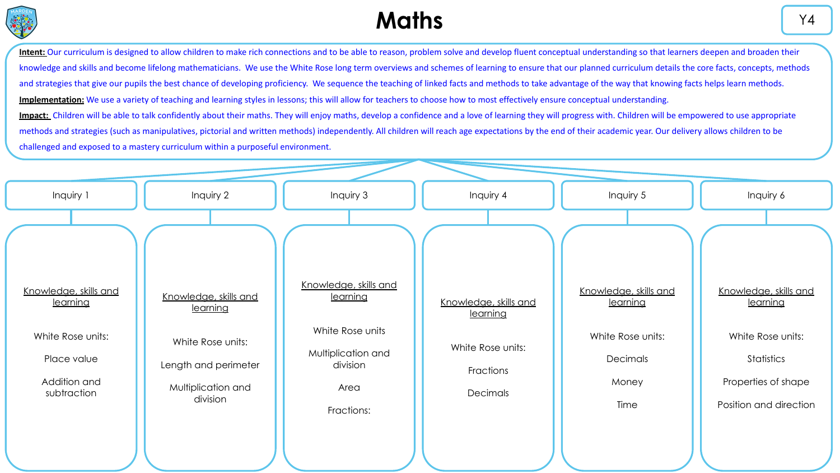

# **Maths**  $\begin{array}{ccc} \hline & \end{array}$  Y4

Intent: Our curriculum is designed to allow children to make rich connections and to be able to reason, problem solve and develop fluent conceptual understanding so that learners deepen and broaden their knowledge and skills and become lifelong mathematicians. We use the White Rose long term overviews and schemes of learning to ensure that our planned curriculum details the core facts, concepts, methods and strategies that give our pupils the best chance of developing proficiency. We sequence the teaching of linked facts and methods to take advantage of the way that knowing facts helps learn methods. **Implementation:** We use a variety of teaching and learning styles in lessons; this will allow for teachers to choose how to most effectively ensure conceptual understanding. Impact: Children will be able to talk confidently about their maths. They will enjoy maths, develop a confidence and a love of learning they will progress with. Children will be empowered to use appropriate methods and strategies (such as manipulatives, pictorial and written methods) independently. All children will reach age expectations by the end of their academic year. Our delivery allows children to be

| Inquiry 1                                                                                            | Inquiry 2                                                                                                        | Inquiry 3                                                                                                     | Inquiry 4                                                                              | Inquiry 5                                                                           | Inquiry 6                                                                                                             |
|------------------------------------------------------------------------------------------------------|------------------------------------------------------------------------------------------------------------------|---------------------------------------------------------------------------------------------------------------|----------------------------------------------------------------------------------------|-------------------------------------------------------------------------------------|-----------------------------------------------------------------------------------------------------------------------|
| Knowledge, skills and<br>learning<br>White Rose units:<br>Place value<br>Addition and<br>subtraction | Knowledge, skills and<br>learning<br>White Rose units:<br>Length and perimeter<br>Multiplication and<br>division | Knowledge, skills and<br>learning<br>White Rose units<br>Multiplication and<br>division<br>Area<br>Fractions: | Knowledge, skills and<br><u>learnina</u><br>White Rose units:<br>Fractions<br>Decimals | Knowledge, skills and<br>learning<br>White Rose units:<br>Decimals<br>Money<br>Time | Knowledge, skills and<br>learning<br>White Rose units:<br>Statistics<br>Properties of shape<br>Position and direction |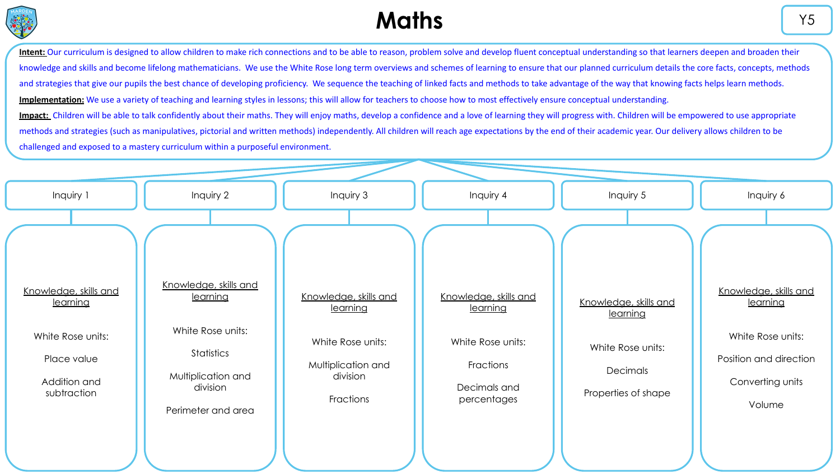

# **Maths**  $\begin{array}{ccc} & & & & \sqrt{5} & \sqrt{5} & \sqrt{5} & \sqrt{5} & \sqrt{5} & \sqrt{5} & \sqrt{5} & \sqrt{5} & \sqrt{5} & \sqrt{5} & \sqrt{5} & \sqrt{5} & \sqrt{5} & \sqrt{5} & \sqrt{5} & \sqrt{5} & \sqrt{5} & \sqrt{5} & \sqrt{5} & \sqrt{5} & \sqrt{5} & \sqrt{5} & \sqrt{5} & \sqrt{5} & \sqrt{5} & \sqrt{5} & \sqrt{5} & \sqrt{5} & \sqrt{5} & \sqrt{5} & \sqrt{5} & \sqrt{5} & \sqrt{5} & \sqrt{5$

Intent: Our curriculum is designed to allow children to make rich connections and to be able to reason, problem solve and develop fluent conceptual understanding so that learners deepen and broaden their knowledge and skills and become lifelong mathematicians. We use the White Rose long term overviews and schemes of learning to ensure that our planned curriculum details the core facts, concepts, methods and strategies that give our pupils the best chance of developing proficiency. We sequence the teaching of linked facts and methods to take advantage of the way that knowing facts helps learn methods. **Implementation:** We use a variety of teaching and learning styles in lessons; this will allow for teachers to choose how to most effectively ensure conceptual understanding. Impact: Children will be able to talk confidently about their maths. They will enjoy maths, develop a confidence and a love of learning they will progress with. Children will be empowered to use appropriate

methods and strategies (such as manipulatives, pictorial and written methods) independently. All children will reach age expectations by the end of their academic year. Our delivery allows children to be

| Inquiry 1                                  | Inquiry 2                                            | Inquiry 3                                   | Inquiry 4                                | Inquiry 5                         | Inquiry 6                                            |
|--------------------------------------------|------------------------------------------------------|---------------------------------------------|------------------------------------------|-----------------------------------|------------------------------------------------------|
|                                            | Knowledge, skills and                                |                                             |                                          |                                   |                                                      |
| Knowledge, skills and<br><u>learning</u>   | learning                                             | Knowledge, skills and<br>learning           | Knowledge, skills and<br>learning        | Knowledge, skills and<br>learning | Knowledge, skills and<br>learning                    |
| White Rose units:                          | White Rose units:<br>Statistics                      | White Rose units:                           | White Rose units:                        | White Rose units:                 | White Rose units:                                    |
| Place value<br>Addition and<br>subtraction | Multiplication and<br>division<br>Perimeter and area | Multiplication and<br>division<br>Fractions | Fractions<br>Decimals and<br>percentages | Decimals<br>Properties of shape   | Position and direction<br>Converting units<br>Volume |
|                                            |                                                      |                                             |                                          |                                   |                                                      |